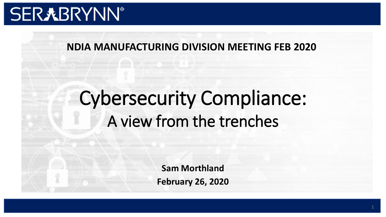# **SER丸BRYNN®**

## **NDIA MANUFACTURING DIVISION MEETING FEB 2020**

# Cybersecurity Compliance: A view from the trenches

**Sam Morthland February 26, 2020**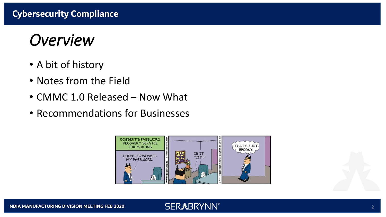## *Overview*

- A bit of history
- Notes from the Field
- CMMC 1.0 Released Now What
- Recommendations for Businesses

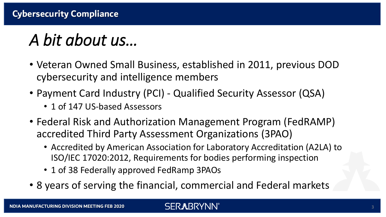# *A bit about us…*

- Veteran Owned Small Business, established in 2011, previous DOD cybersecurity and intelligence members
- Payment Card Industry (PCI) Qualified Security Assessor (QSA)
	- 1 of 147 US-based Assessors
- Federal Risk and Authorization Management Program (FedRAMP) accredited Third Party Assessment Organizations (3PAO)
	- Accredited by American Association for Laboratory Accreditation (A2LA) to ISO/IEC 17020:2012, Requirements for bodies performing inspection
	- 1 of 38 Federally approved FedRamp 3PAOs
- 8 years of serving the financial, commercial and Federal markets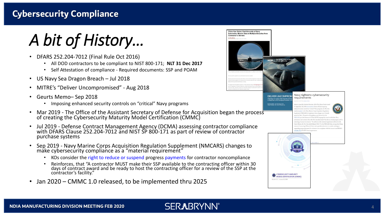*A bit of History…*

- DFARS 252.204-7012 (Final Rule Oct 2016)
	- All DOD contractors to be compliant to NIST 800-171; **NLT 31 Dec 2017**
	- Self Attestation of compliance Required documents: SSP and POAM
- US Navy Sea Dragon Breach Jul 2018
- MITRE's "Deliver Uncompromised" Aug 2018
- Geurts Memo– Sep 2018
	- Imposing enhanced security controls on "critical" Navy programs
- Mar 2019 The Office of the Assistant Secretary of Defense for Acquisition began the process of creating the Cybersecurity Maturity Model Certification (CMMC)
- Jul 2019 Defense Contract Management Agency (DCMA) assessing contractor compliance with DFARS Clause 252.204-7012 and NIST SP 800-171 as part of review of contractor purchase systems
- Sep 2019 Navy Marine Corps Acquisition Regulation Supplement (NMCARS) changes to make cybersecurity compliance as a "material requirement"
	- KOs consider the right to reduce or suspend progress payments for contractor noncompliance
	- Reinforces, that "A contractor MUST make their SSP available to the contracting officer within 30 days of contract award and be ready to host the contracting officer for a review of the SSP at the contractor's facility."
- Jan 2020 CMMC 1.0 released, to be implemented thru 2025

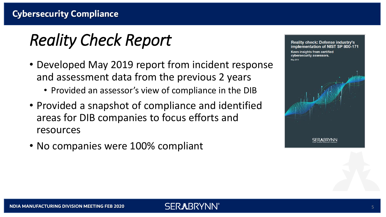# *Reality Check Report*

- Developed May 2019 report from incident response and assessment data from the previous 2 years
	- Provided an assessor's view of compliance in the DIB
- Provided a snapshot of compliance and identified areas for DIB companies to focus efforts and resources
- No companies were 100% compliant

**Reality check: Defense industry's** implementation of NIST SP 800-171 Keen insights from certified cybersecurity assessors. May 2011

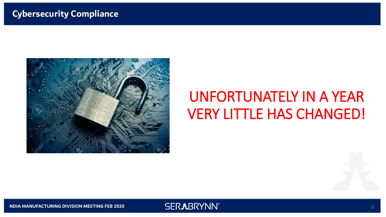

## UNFORTUNATELY IN A YEAR VERY LITTLE HAS CHANGED!

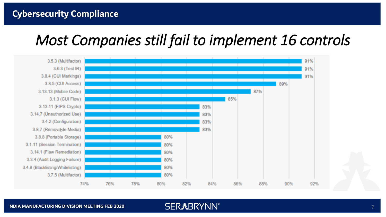## *Most Companies still fail to implement 16 controls*



#### **NDIA MANUFACTURING DIVISION MEETING FEB 2020**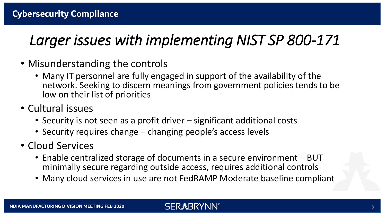## *Larger issues with implementing NIST SP 800-171*

- Misunderstanding the controls
	- Many IT personnel are fully engaged in support of the availability of the network. Seeking to discern meanings from government policies tends to be low on their list of priorities
- Cultural issues
	- Security is not seen as a profit driver significant additional costs
	- Security requires change changing people's access levels
- Cloud Services
	- Enable centralized storage of documents in a secure environment BUT minimally secure regarding outside access, requires additional controls
	- Many cloud services in use are not FedRAMP Moderate baseline compliant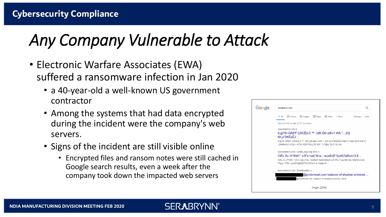# *Any Company Vulnerable to Attack*

- Electronic Warfare Associates (EWA) suffered a ransomware infection in Jan 2020
	- a 40-year-old a well-known US government contractor
	- Among the systems that had data encrypted during the incident were the company's web servers.
	- Signs of the incident are still visible online
		- Encrypted files and ransom notes were still cached in Google search results, even a week after the company took down the impacted web servers

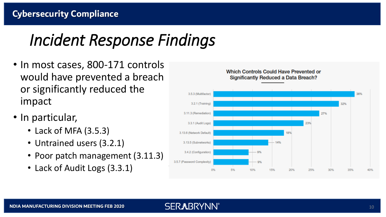# *Incident Response Findings*

- In most cases, 800-171 controls would have prevented a breach or significantly reduced the impact
- In particular,
	- Lack of MFA (3.5.3)
	- Untrained users (3.2.1)
	- Poor patch management (3.11.3)
	- Lack of Audit Logs (3.3.1)

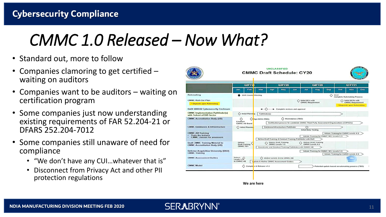# *CMMC 1.0 Released – Now What?*

- Standard out, more to follow
- Companies clamoring to get certified  $$ waiting on auditors
- Companies want to be auditors waiting on certification program
- Some companies just now understanding existing requirements of FAR 52.204-21 or DFARS 252.204-7012
- Some companies still unaware of need for compliance
	- "We don't have any CUI…whatever that is"
	- Disconnect from Privacy Act and other PII protection regulations

|                                                                                                | Q2FY20                                                                                                                                                           |                    |  |                                                                                                      |     | Q3FY20                                |            |                           | <b>Q4FY20</b>                              |            | Q1FY21                                             |                                                      |     |
|------------------------------------------------------------------------------------------------|------------------------------------------------------------------------------------------------------------------------------------------------------------------|--------------------|--|------------------------------------------------------------------------------------------------------|-----|---------------------------------------|------------|---------------------------|--------------------------------------------|------------|----------------------------------------------------|------------------------------------------------------|-----|
|                                                                                                | Jan                                                                                                                                                              | Feb                |  | Mar                                                                                                  | Apr | May                                   | <b>Jun</b> | Jul                       | Aug                                        | <b>Sep</b> | oc <sub>t</sub>                                    | <b>Nov</b>                                           | Dec |
| Rulemaking                                                                                     |                                                                                                                                                                  | DAR Counce Meeting |  |                                                                                                      |     |                                       |            |                           |                                            | O          | Goal:                                              | <b>Complete Rulemaking Process</b>                   |     |
| <b>CMMC Roll Out Plan</b>                                                                      |                                                                                                                                                                  |                    |  |                                                                                                      |     |                                       |            | Initial RF1s with         |                                            |            |                                                    | Initial RFPs with                                    |     |
| * Depends upon Rulemaking                                                                      |                                                                                                                                                                  |                    |  |                                                                                                      |     |                                       |            |                           | <b>CMMC Requirement</b>                    |            |                                                    | <b>CMMC Requirement</b><br>* Depends upon Rulemaking |     |
| DoDI 5000.02 Cybersecurity Enclosure                                                           |                                                                                                                                                                  |                    |  |                                                                                                      |     | Complete reviews and approval         |            |                           |                                            |            |                                                    |                                                      |     |
| <b>CMMC Implementation Pathfinder(s)</b><br>with Subset of DIB Sector                          |                                                                                                                                                                  | ◯ Initial Planning |  | Pathfinder(s)                                                                                        |     |                                       |            |                           |                                            |            |                                                    |                                                      |     |
| <b>CMMC Accreditation Body (AB)</b>                                                            | Marketplace (TBD)<br>Sign MOU (TBD)<br>◇<br>Establish<br>Certification process for candidate CMMC Third Party Assessment Organizations (C3PAOs)<br>CMMC AB Board |                    |  |                                                                                                      |     |                                       |            |                           |                                            |            |                                                    |                                                      |     |
| <b>CMMC Databases &amp; Infrastructure</b>                                                     |                                                                                                                                                                  | Initial Plannin    |  |                                                                                                      |     | Database/infrastructure Pathfinder    |            | ◇<br>Initial Beta Testing |                                            |            |                                                    |                                                      |     |
| <b>CMMC AB Training</b><br><b>Train the trainers</b><br><b>CMMC</b> classes for assessors<br>۰ |                                                                                                                                                                  |                    |  |                                                                                                      |     |                                       |            |                           |                                            |            | Initiate Training for CMMC Levels 4-5              |                                                      |     |
|                                                                                                |                                                                                                                                                                  |                    |  |                                                                                                      |     |                                       |            |                           | Initiate Training for CMMC 101, Levels 1-3 |            |                                                    |                                                      |     |
|                                                                                                |                                                                                                                                                                  |                    |  | Refine Draft Training & Conduct Training Pathfinder with DoD                                         |     |                                       |            |                           |                                            |            |                                                    |                                                      |     |
| <b>Draft CMMC Training Material to</b><br><b>CMMC Accreditation Body (AB)</b>                  | Deliver<br><b>Draft Training</b><br><b>CMMC 101</b>                                                                                                              |                    |  | <b>Deliver Draft Training</b><br><b>Deliver Draft Training</b><br>CMMC Levels 4-5<br>CMMG Levels 1-3 |     |                                       |            |                           |                                            |            |                                                    |                                                      |     |
|                                                                                                |                                                                                                                                                                  |                    |  | Coordinate and Conduct Training Pathfinder with CMMC AB                                              |     |                                       |            |                           |                                            |            |                                                    |                                                      |     |
| <b>Defense Acquisition University (DAU)</b>                                                    |                                                                                                                                                                  |                    |  |                                                                                                      |     |                                       |            |                           | Initiate Training for CMMC 101, Levels 1-3 |            |                                                    |                                                      |     |
| <b>CMMC Training</b>                                                                           |                                                                                                                                                                  |                    |  |                                                                                                      |     |                                       |            |                           |                                            |            | Initiate Training for CMMC Levels 4-5              |                                                      |     |
| <b>CMMC Assessment Guides</b>                                                                  | Deliver<br>Deliver $\bigotimes$<br>Levels 1- $\bigotimes$<br>to CMMC AB                                                                                          |                    |  |                                                                                                      |     | Deliver Levels 4-5 to CMMC AB         |            |                           |                                            |            |                                                    |                                                      |     |
|                                                                                                |                                                                                                                                                                  |                    |  |                                                                                                      |     | pdate & Refine CMMC Assessment Guides |            |                           |                                            |            |                                                    |                                                      |     |
| <b>CMMC Model</b>                                                                              |                                                                                                                                                                  |                    |  | Comple e & Release v1.0                                                                              |     |                                       |            |                           |                                            |            | Potential update based on rulemaking process (TBD) |                                                      |     |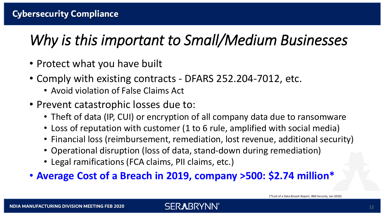## *Why is this important to Small/Medium Businesses*

- Protect what you have built
- Comply with existing contracts DFARS 252.204-7012, etc.
	- Avoid violation of False Claims Act
- Prevent catastrophic losses due to:
	- Theft of data (IP, CUI) or encryption of all company data due to ransomware
	- Loss of reputation with customer (1 to 6 rule, amplified with social media)
	- Financial loss (reimbursement, remediation, lost revenue, additional security)
	- Operational disruption (loss of data, stand-down during remediation)
	- Legal ramifications (FCA claims, PII claims, etc.)
- **Average Cost of a Breach in 2019, company >500: \$2.74 million\***

**SERXBRYNN®**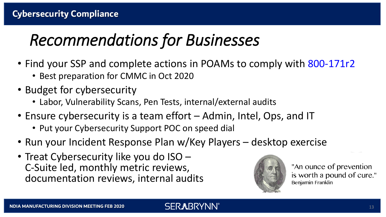# *Recommendations for Businesses*

- Find your SSP and complete actions in POAMs to comply with 800-171r2
	- Best preparation for CMMC in Oct 2020
- Budget for cybersecurity
	- Labor, Vulnerability Scans, Pen Tests, internal/external audits
- Ensure cybersecurity is a team effort Admin, Intel, Ops, and IT
	- Put your Cybersecurity Support POC on speed dial
- Run your Incident Response Plan w/Key Players desktop exercise

**SERXBRYNN** 

• Treat Cybersecurity like you do ISO – C-Suite led, monthly metric reviews, documentation reviews, internal audits



"An ounce of prevention" is worth a pound of cure." Benjamin Franklin